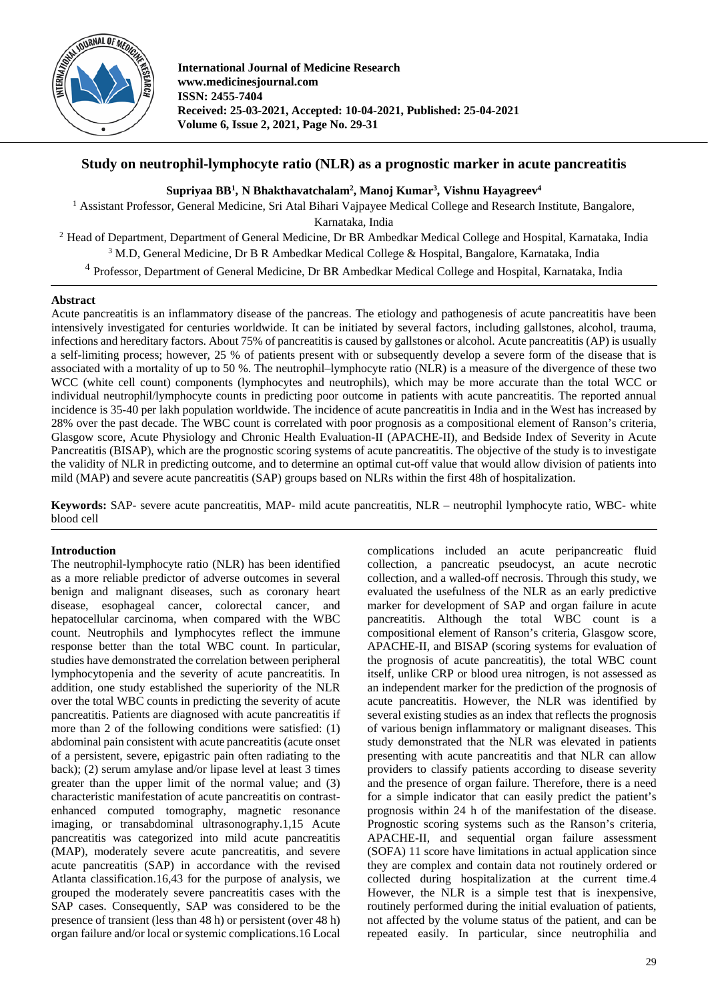

**International Journal of Medicine Research www.medicinesjournal.com ISSN: 2455-7404 Received: 25-03-2021, Accepted: 10-04-2021, Published: 25-04-2021 Volume 6, Issue 2, 2021, Page No. 29-31**

# **Study on neutrophil-lymphocyte ratio (NLR) as a prognostic marker in acute pancreatitis**

 $\boldsymbol{\mathrm{Supriyaa\ BB^1,N}}$   $\boldsymbol{\mathrm{B}}$ hakthavatchalam<sup>2</sup>,  $\boldsymbol{\mathrm{Manoj\ Kumar^3,Nishnu\ Hayagreev^4}}$ 

<sup>1</sup> Assistant Professor, General Medicine, Sri Atal Bihari Vajpayee Medical College and Research Institute, Bangalore, Karnataka, India <sup>2</sup> Head of Department, Department of General Medicine, Dr BR Ambedkar Medical College and Hospital, Karnataka, India <sup>3</sup> M.D, General Medicine, Dr B R Ambedkar Medical College & Hospital, Bangalore, Karnataka, India

<sup>4</sup> Professor, Department of General Medicine, Dr BR Ambedkar Medical College and Hospital, Karnataka, India

# **Abstract**

Acute pancreatitis is an inflammatory disease of the pancreas. The etiology and pathogenesis of acute pancreatitis have been intensively investigated for centuries worldwide. It can be initiated by several factors, including gallstones, alcohol, trauma, infections and hereditary factors. About 75% of pancreatitis is caused by gallstones or alcohol. Acute pancreatitis (AP) is usually a self-limiting process; however, 25 % of patients present with or subsequently develop a severe form of the disease that is associated with a mortality of up to 50 %. The neutrophil–lymphocyte ratio (NLR) is a measure of the divergence of these two WCC (white cell count) components (lymphocytes and neutrophils), which may be more accurate than the total WCC or individual neutrophil/lymphocyte counts in predicting poor outcome in patients with acute pancreatitis. The reported annual incidence is 35-40 per lakh population worldwide. The incidence of acute pancreatitis in India and in the West has increased by 28% over the past decade. The WBC count is correlated with poor prognosis as a compositional element of Ranson's criteria, Glasgow score, Acute Physiology and Chronic Health Evaluation-II (APACHE-II), and Bedside Index of Severity in Acute Pancreatitis (BISAP), which are the prognostic scoring systems of acute pancreatitis. The objective of the study is to investigate the validity of NLR in predicting outcome, and to determine an optimal cut-off value that would allow division of patients into mild (MAP) and severe acute pancreatitis (SAP) groups based on NLRs within the first 48h of hospitalization.

**Keywords:** SAP- severe acute pancreatitis, MAP- mild acute pancreatitis, NLR – neutrophil lymphocyte ratio, WBC- white blood cell

# **Introduction**

The neutrophil-lymphocyte ratio (NLR) has been identified as a more reliable predictor of adverse outcomes in several benign and malignant diseases, such as coronary heart disease, esophageal cancer, colorectal cancer, and hepatocellular carcinoma, when compared with the WBC count. Neutrophils and lymphocytes reflect the immune response better than the total WBC count. In particular, studies have demonstrated the correlation between peripheral lymphocytopenia and the severity of acute pancreatitis. In addition, one study established the superiority of the NLR over the total WBC counts in predicting the severity of acute pancreatitis. Patients are diagnosed with acute pancreatitis if more than 2 of the following conditions were satisfied: (1) abdominal pain consistent with acute pancreatitis (acute onset of a persistent, severe, epigastric pain often radiating to the back); (2) serum amylase and/or lipase level at least 3 times greater than the upper limit of the normal value; and (3) characteristic manifestation of acute pancreatitis on contrastenhanced computed tomography, magnetic resonance imaging, or transabdominal ultrasonography.1,15 Acute pancreatitis was categorized into mild acute pancreatitis (MAP), moderately severe acute pancreatitis, and severe acute pancreatitis (SAP) in accordance with the revised Atlanta classification.16,43 for the purpose of analysis, we grouped the moderately severe pancreatitis cases with the SAP cases. Consequently, SAP was considered to be the presence of transient (less than 48 h) or persistent (over 48 h) organ failure and/or local or systemic complications.16 Local complications included an acute peripancreatic fluid collection, a pancreatic pseudocyst, an acute necrotic collection, and a walled-off necrosis. Through this study, we evaluated the usefulness of the NLR as an early predictive marker for development of SAP and organ failure in acute pancreatitis. Although the total WBC count is a compositional element of Ranson's criteria, Glasgow score, APACHE-II, and BISAP (scoring systems for evaluation of the prognosis of acute pancreatitis), the total WBC count itself, unlike CRP or blood urea nitrogen, is not assessed as an independent marker for the prediction of the prognosis of acute pancreatitis. However, the NLR was identified by several existing studies as an index that reflects the prognosis of various benign inflammatory or malignant diseases. This study demonstrated that the NLR was elevated in patients presenting with acute pancreatitis and that NLR can allow providers to classify patients according to disease severity and the presence of organ failure. Therefore, there is a need for a simple indicator that can easily predict the patient's prognosis within 24 h of the manifestation of the disease. Prognostic scoring systems such as the Ranson's criteria, APACHE-II, and sequential organ failure assessment (SOFA) 11 score have limitations in actual application since they are complex and contain data not routinely ordered or collected during hospitalization at the current time.4 However, the NLR is a simple test that is inexpensive, routinely performed during the initial evaluation of patients, not affected by the volume status of the patient, and can be repeated easily. In particular, since neutrophilia and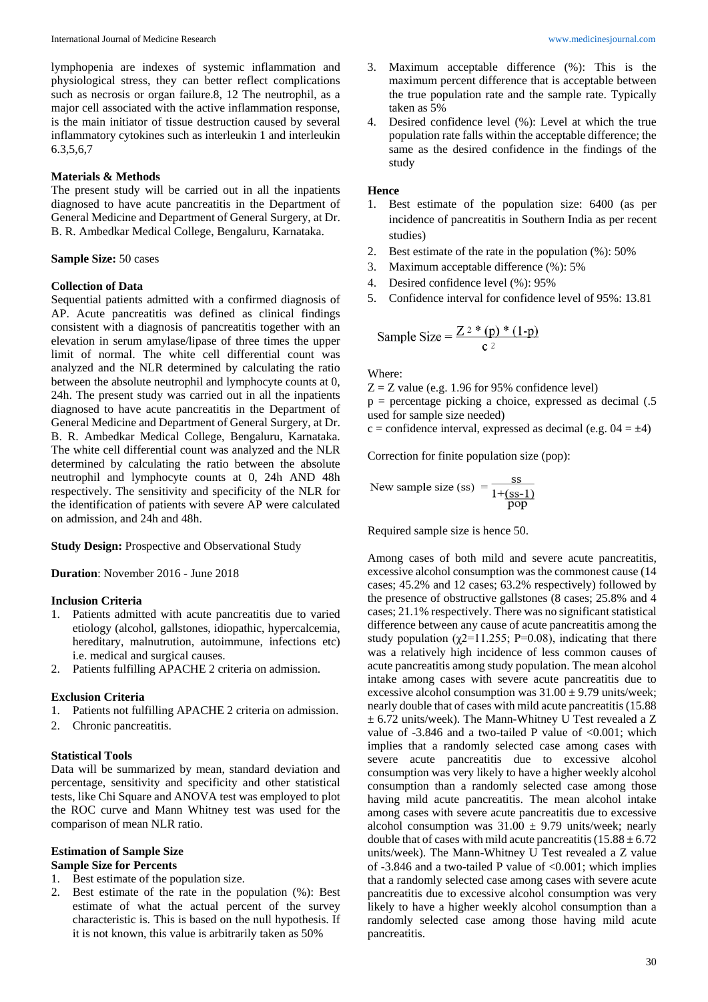lymphopenia are indexes of systemic inflammation and physiological stress, they can better reflect complications such as necrosis or organ failure.8, 12 The neutrophil, as a major cell associated with the active inflammation response, is the main initiator of tissue destruction caused by several inflammatory cytokines such as interleukin 1 and interleukin 6.3,5,6,7

## **Materials & Methods**

The present study will be carried out in all the inpatients diagnosed to have acute pancreatitis in the Department of General Medicine and Department of General Surgery, at Dr. B. R. Ambedkar Medical College, Bengaluru, Karnataka.

## **Sample Size:** 50 cases

## **Collection of Data**

Sequential patients admitted with a confirmed diagnosis of AP. Acute pancreatitis was defined as clinical findings consistent with a diagnosis of pancreatitis together with an elevation in serum amylase/lipase of three times the upper limit of normal. The white cell differential count was analyzed and the NLR determined by calculating the ratio between the absolute neutrophil and lymphocyte counts at 0, 24h. The present study was carried out in all the inpatients diagnosed to have acute pancreatitis in the Department of General Medicine and Department of General Surgery, at Dr. B. R. Ambedkar Medical College, Bengaluru, Karnataka. The white cell differential count was analyzed and the NLR determined by calculating the ratio between the absolute neutrophil and lymphocyte counts at 0, 24h AND 48h respectively. The sensitivity and specificity of the NLR for the identification of patients with severe AP were calculated on admission, and 24h and 48h.

**Study Design: Prospective and Observational Study** 

**Duration**: November 2016 - June 2018

## **Inclusion Criteria**

- 1. Patients admitted with acute pancreatitis due to varied etiology (alcohol, gallstones, idiopathic, hypercalcemia, hereditary, malnutrution, autoimmune, infections etc) i.e. medical and surgical causes.
- 2. Patients fulfilling APACHE 2 criteria on admission.

## **Exclusion Criteria**

- 1. Patients not fulfilling APACHE 2 criteria on admission.
- 2. Chronic pancreatitis.

#### **Statistical Tools**

Data will be summarized by mean, standard deviation and percentage, sensitivity and specificity and other statistical tests, like Chi Square and ANOVA test was employed to plot the ROC curve and Mann Whitney test was used for the comparison of mean NLR ratio.

#### **Estimation of Sample Size Sample Size for Percents**

- 1. Best estimate of the population size.
- 2. Best estimate of the rate in the population (%): Best estimate of what the actual percent of the survey characteristic is. This is based on the null hypothesis. If it is not known, this value is arbitrarily taken as 50%
- 3. Maximum acceptable difference (%): This is the maximum percent difference that is acceptable between the true population rate and the sample rate. Typically taken as 5%
- 4. Desired confidence level (%): Level at which the true population rate falls within the acceptable difference; the same as the desired confidence in the findings of the study

## **Hence**

- 1. Best estimate of the population size: 6400 (as per incidence of pancreatitis in Southern India as per recent studies)
- 2. Best estimate of the rate in the population (%): 50%
- 3. Maximum acceptable difference (%): 5%
- 4. Desired confidence level (%): 95%
- 5. Confidence interval for confidence level of 95%: 13.81

Sample Size = 
$$
\frac{Z^{2} * (p) * (1-p)}{c^{2}}
$$

Where:

 $Z = Z$  value (e.g. 1.96 for 95% confidence level)

 $p =$  percentage picking a choice, expressed as decimal  $(.5)$ used for sample size needed)

 $c =$  confidence interval, expressed as decimal (e.g.  $04 = \pm 4$ )

Correction for finite population size (pop):

New sample size (ss) = 
$$
\frac{\text{ss}}{1+(\text{ss}-1)}
$$

Required sample size is hence 50.

Among cases of both mild and severe acute pancreatitis, excessive alcohol consumption was the commonest cause (14 cases; 45.2% and 12 cases; 63.2% respectively) followed by the presence of obstructive gallstones (8 cases; 25.8% and 4 cases; 21.1% respectively. There was no significant statistical difference between any cause of acute pancreatitis among the study population ( $\chi$ 2=11.255; P=0.08), indicating that there was a relatively high incidence of less common causes of acute pancreatitis among study population. The mean alcohol intake among cases with severe acute pancreatitis due to excessive alcohol consumption was  $31.00 \pm 9.79$  units/week; nearly double that of cases with mild acute pancreatitis(15.88 ± 6.72 units/week). The Mann-Whitney U Test revealed a Z value of  $-3.846$  and a two-tailed P value of  $<0.001$ ; which implies that a randomly selected case among cases with severe acute pancreatitis due to excessive alcohol consumption was very likely to have a higher weekly alcohol consumption than a randomly selected case among those having mild acute pancreatitis. The mean alcohol intake among cases with severe acute pancreatitis due to excessive alcohol consumption was  $31.00 \pm 9.79$  units/week; nearly double that of cases with mild acute pancreatitis  $(15.88 \pm 6.72)$ units/week). The Mann-Whitney  $\overline{U}$  Test revealed a Z value of  $-3.846$  and a two-tailed P value of  $\langle 0.001$ ; which implies that a randomly selected case among cases with severe acute pancreatitis due to excessive alcohol consumption was very likely to have a higher weekly alcohol consumption than a randomly selected case among those having mild acute pancreatitis.